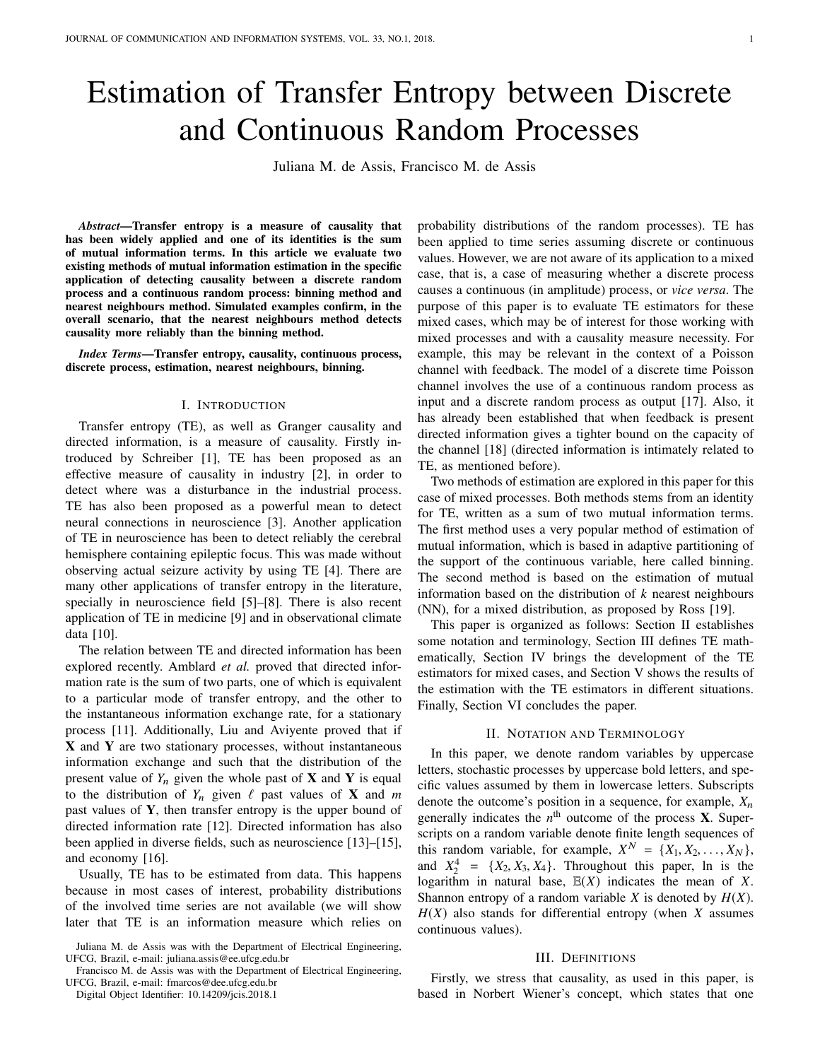# Estimation of Transfer Entropy between Discrete and Continuous Random Processes

Juliana M. de Assis, Francisco M. de Assis

*Abstract*—Transfer entropy is a measure of causality that has been widely applied and one of its identities is the sum of mutual information terms. In this article we evaluate two existing methods of mutual information estimation in the specific application of detecting causality between a discrete random process and a continuous random process: binning method and nearest neighbours method. Simulated examples confirm, in the overall scenario, that the nearest neighbours method detects causality more reliably than the binning method.

*Index Terms*—Transfer entropy, causality, continuous process, discrete process, estimation, nearest neighbours, binning.

#### I. INTRODUCTION

Transfer entropy (TE), as well as Granger causality and directed information, is a measure of causality. Firstly introduced by Schreiber [1], TE has been proposed as an effective measure of causality in industry [2], in order to detect where was a disturbance in the industrial process. TE has also been proposed as a powerful mean to detect neural connections in neuroscience [3]. Another application of TE in neuroscience has been to detect reliably the cerebral hemisphere containing epileptic focus. This was made without observing actual seizure activity by using TE [4]. There are many other applications of transfer entropy in the literature, specially in neuroscience field [5]–[8]. There is also recent application of TE in medicine [9] and in observational climate data [10].

The relation between TE and directed information has been explored recently. Amblard *et al.* proved that directed information rate is the sum of two parts, one of which is equivalent to a particular mode of transfer entropy, and the other to the instantaneous information exchange rate, for a stationary process [11]. Additionally, Liu and Aviyente proved that if **X** and **Y** are two stationary processes, without instantaneous information exchange and such that the distribution of the present value of  $Y_n$  given the whole past of **X** and **Y** is equal to the distribution of  $Y_n$  given  $\ell$  past values of **X** and *m* past values of **Y**, then transfer entropy is the upper bound of directed information rate [12]. Directed information has also been applied in diverse fields, such as neuroscience [13]–[15], and economy [16].

Usually, TE has to be estimated from data. This happens because in most cases of interest, probability distributions of the involved time series are not available (we will show later that TE is an information measure which relies on

Francisco M. de Assis was with the Department of Electrical Engineering, UFCG, Brazil, e-mail: fmarcos@dee.ufcg.edu.br

Digital Object Identifier: 10.14209/jcis.2018.1

probability distributions of the random processes). TE has been applied to time series assuming discrete or continuous values. However, we are not aware of its application to a mixed case, that is, a case of measuring whether a discrete process causes a continuous (in amplitude) process, or *vice versa*. The purpose of this paper is to evaluate TE estimators for these mixed cases, which may be of interest for those working with mixed processes and with a causality measure necessity. For example, this may be relevant in the context of a Poisson channel with feedback. The model of a discrete time Poisson channel involves the use of a continuous random process as input and a discrete random process as output [17]. Also, it has already been established that when feedback is present directed information gives a tighter bound on the capacity of the channel [18] (directed information is intimately related to TE, as mentioned before).

Two methods of estimation are explored in this paper for this case of mixed processes. Both methods stems from an identity for TE, written as a sum of two mutual information terms. The first method uses a very popular method of estimation of mutual information, which is based in adaptive partitioning of the support of the continuous variable, here called binning. The second method is based on the estimation of mutual information based on the distribution of *k* nearest neighbours (NN), for a mixed distribution, as proposed by Ross [19].

This paper is organized as follows: Section II establishes some notation and terminology, Section III defines TE mathematically, Section IV brings the development of the TE estimators for mixed cases, and Section V shows the results of the estimation with the TE estimators in different situations. Finally, Section VI concludes the paper.

#### II. NOTATION AND TERMINOLOGY

In this paper, we denote random variables by uppercase letters, stochastic processes by uppercase bold letters, and specific values assumed by them in lowercase letters. Subscripts denote the outcome's position in a sequence, for example,  $X_n$ generally indicates the  $n<sup>th</sup>$  outcome of the process **X**. Superscripts on a random variable denote finite length sequences of this random variable, for example,  $X^N = \{X_1, X_2, \ldots, X_N\}$ ,<br>and  $X^4 = \{X_2, X_3\}$ . Throughout this paper, in is the and  $X_2^4 = \{X_2, X_3, X_4\}$ . Throughout this paper, ln is the logarithm in natural base  $\mathbb{F}(X)$  indicates the mean of X logarithm in natural base,  $E(X)$  indicates the mean of *X*. Shannon entropy of a random variable *X* is denoted by *H*(*X*).  $H(X)$  also stands for differential entropy (when *X* assumes continuous values).

## III. DEFINITIONS

Firstly, we stress that causality, as used in this paper, is based in Norbert Wiener's concept, which states that one

Juliana M. de Assis was with the Department of Electrical Engineering, UFCG, Brazil, e-mail: juliana.assis@ee.ufcg.edu.br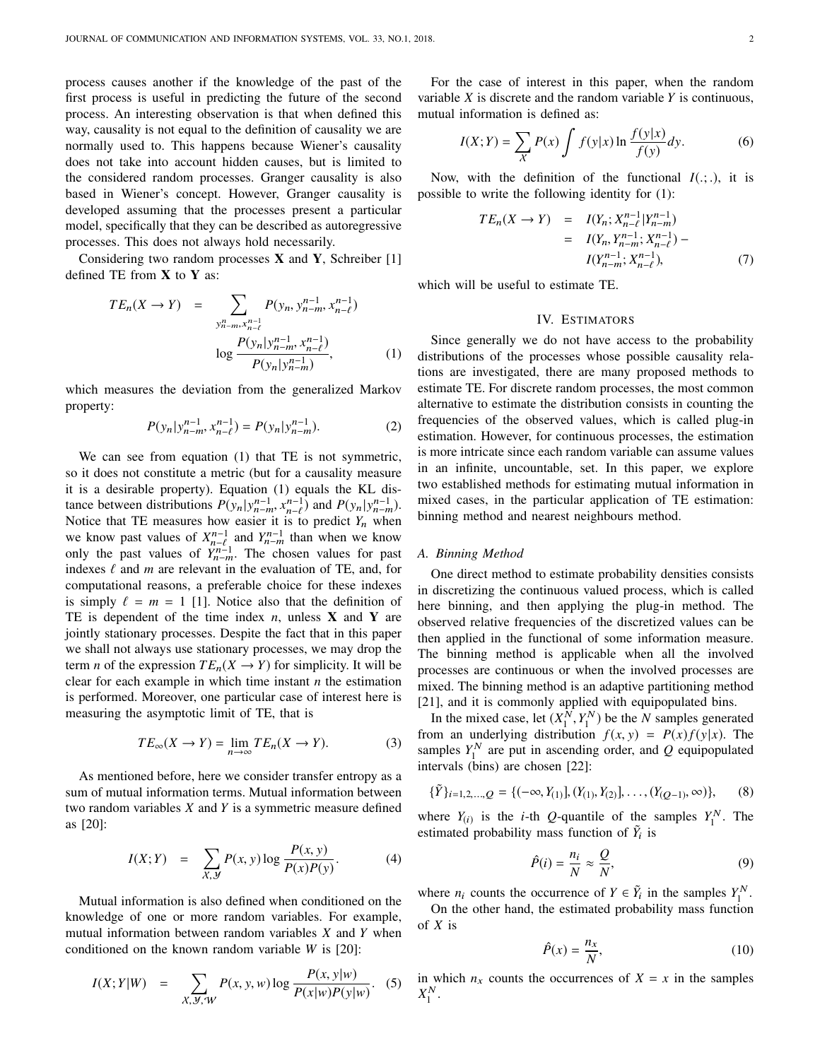process causes another if the knowledge of the past of the first process is useful in predicting the future of the second process. An interesting observation is that when defined this way, causality is not equal to the definition of causality we are normally used to. This happens because Wiener's causality does not take into account hidden causes, but is limited to the considered random processes. Granger causality is also based in Wiener's concept. However, Granger causality is developed assuming that the processes present a particular model, specifically that they can be described as autoregressive processes. This does not always hold necessarily.

Considering two random processes **X** and **Y**, Schreiber [1] defined TE from **X** to **Y** as:

$$
TE_n(X \to Y) = \sum_{\substack{y_n^n - m, x_{n-\ell}^{n-1} \\ \dots \\ \log \frac{P(y_n | y_{n-m}^{n-1}, x_{n-\ell}^{n-1})}{P(y_n | y_{n-m}^{n-1})}},
$$
 (1)

which measures the deviation from the generalized Markov property:

$$
P(y_n|y_{n-m}^{n-1}, x_{n-\ell}^{n-1}) = P(y_n|y_{n-m}^{n-1}).
$$
 (2)

We can see from equation (1) that TE is not symmetric, so it does not constitute a metric (but for a causality measure it is a desirable property). Equation (1) equals the KL distance between distributions  $P(y_n|y_{n-m}^{n-1}, x_{n-\ell}^{n-1})$  and  $P(y_n|y_{n-m}^{n-1})$ .<br>Notice that TE measures how easier it is to predict V when Notice that TE measures how easier it is to predict *Y<sub>n</sub>* when we know past values of  $X_{n-\ell}^{n-1}$  and  $Y_{n-\ell}^{n-1}$  than when we know only the past values of  $Y_{n-\ell}^{n-1}$ . The chosen values for past only the past values of  $Y_{n-m}^{n-1}$ . The chosen values for past indexes  $\ell$  and  $m$  are relevant in the evaluation of TE, and, for computational reasons, a preferable choice for these indexes is simply  $\ell = m = 1$  [1]. Notice also that the definition of TE is dependent of the time index *n*, unless **X** and **Y** are jointly stationary processes. Despite the fact that in this paper we shall not always use stationary processes, we may drop the term *n* of the expression  $TE_n(X \to Y)$  for simplicity. It will be clear for each example in which time instant *n* the estimation is performed. Moreover, one particular case of interest here is measuring the asymptotic limit of TE, that is

$$
TE_{\infty}(X \to Y) = \lim_{n \to \infty} TE_n(X \to Y). \tag{3}
$$

As mentioned before, here we consider transfer entropy as a sum of mutual information terms. Mutual information between two random variables *X* and *Y* is a symmetric measure defined as [20]:

$$
I(X;Y) = \sum_{X,Y} P(x,y) \log \frac{P(x,y)}{P(x)P(y)}.
$$
 (4)

Mutual information is also defined when conditioned on the knowledge of one or more random variables. For example, mutual information between random variables *X* and *Y* when conditioned on the known random variable *W* is [20]:

$$
I(X;Y|W) = \sum_{X,Y,W} P(x,y,w) \log \frac{P(x,y|w)}{P(x|w)P(y|w)}.
$$
 (5)

For the case of interest in this paper, when the random variable *X* is discrete and the random variable *Y* is continuous, mutual information is defined as:

$$
I(X;Y) = \sum_{X} P(x) \int f(y|x) \ln \frac{f(y|x)}{f(y)} dy.
$$
 (6)

Now, with the definition of the functional  $I(:,.)$ , it is possible to write the following identity for (1):

$$
TE_n(X \to Y) = I(Y_n; X_{n-\ell}^{n-1} | Y_{n-m}^{n-1})
$$
  
=  $I(Y_n, Y_{n-m}^{n-1}; X_{n-\ell}^{n-1}) -$   
 $I(Y_{n-m}^{n-1}; X_{n-\ell}^{n-1}),$  (7)

which will be useful to estimate TE.

# IV. ESTIMATORS

Since generally we do not have access to the probability distributions of the processes whose possible causality relations are investigated, there are many proposed methods to estimate TE. For discrete random processes, the most common alternative to estimate the distribution consists in counting the frequencies of the observed values, which is called plug-in estimation. However, for continuous processes, the estimation is more intricate since each random variable can assume values in an infinite, uncountable, set. In this paper, we explore two established methods for estimating mutual information in mixed cases, in the particular application of TE estimation: binning method and nearest neighbours method.

#### *A. Binning Method*

One direct method to estimate probability densities consists in discretizing the continuous valued process, which is called here binning, and then applying the plug-in method. The observed relative frequencies of the discretized values can be then applied in the functional of some information measure. The binning method is applicable when all the involved processes are continuous or when the involved processes are mixed. The binning method is an adaptive partitioning method [21], and it is commonly applied with equipopulated bins.

In the mixed case, let  $(X_1^N, Y_1^N)$  be the *N* samples generated<br>we an underlying distribution  $f(x, y) = P(x) f(y|x)$ . The from an underlying distribution  $f(x, y) = P(x)f(y|x)$ . The samples  $Y_1^N$  are put in ascending order, and  $Q$  equipopulated intervals (bins) are chosen [22]:

$$
\{\tilde{Y}\}_{i=1,2,\ldots,Q} = \{(-\infty,Y_{(1)}], (Y_{(1)},Y_{(2)}], \ldots, (Y_{(Q-1)},\infty)\},\tag{8}
$$

where  $Y_{(i)}$  is the *i*-th *Q*-quantile of the samples  $Y_1^N$ . The estimated probability mass function of  $\tilde{Y}_i$  is

$$
\hat{P}(i) = \frac{n_i}{N} \approx \frac{Q}{N},\tag{9}
$$

where  $n_i$  counts the occurrence of  $Y \in \tilde{Y}_i$  in the samples  $Y_1^N$ .

On the other hand, the estimated probability mass function of *X* is

$$
\hat{P}(x) = \frac{n_x}{N},\tag{10}
$$

in which  $n_x$  counts the occurrences of  $X = x$  in the samples  $X_1^N$ .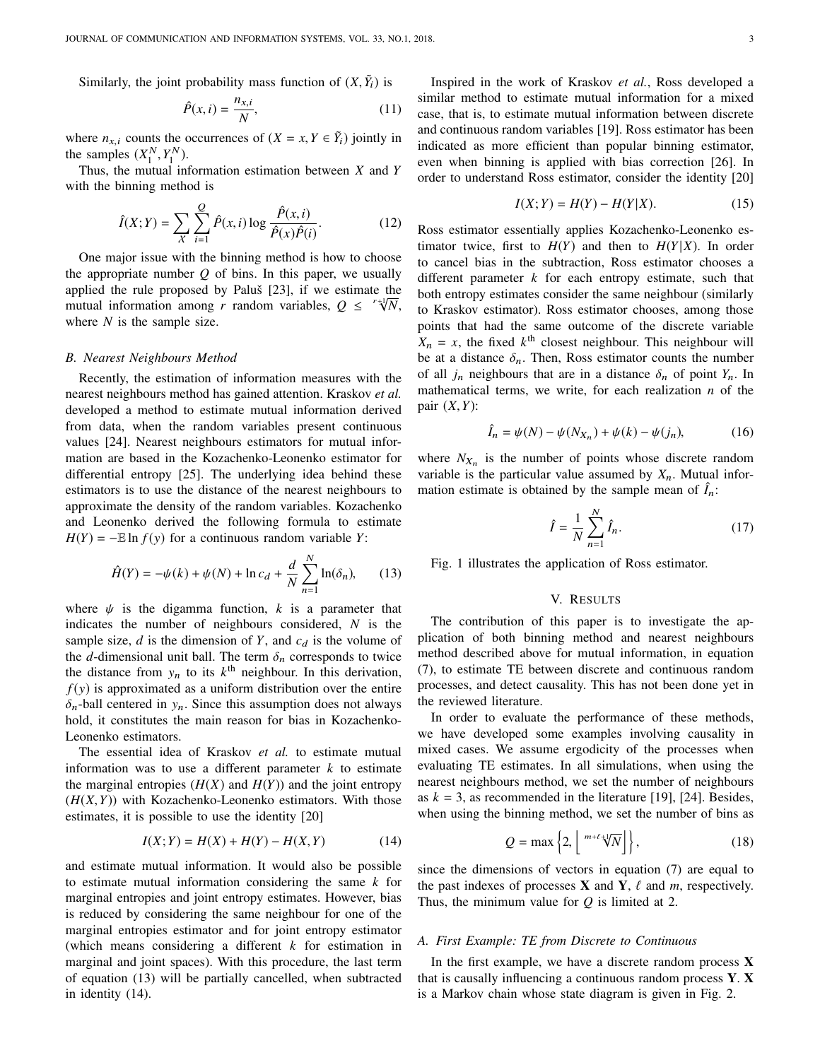Similarly, the joint probability mass function of  $(X, \tilde{Y}_i)$  is

$$
\hat{P}(x,i) = \frac{n_{x,i}}{N},\tag{11}
$$

where  $n_{x,i}$  counts the occurrences of  $(X = x, Y \in \tilde{Y}_i)$  jointly in the samples  $(Y^N, Y^N)$ the samples  $(X_1^N, Y_1^N)$ .<br>Thus the mutual in

Thus, the mutual information estimation between *X* and *Y* with the binning method is

$$
\hat{I}(X;Y) = \sum_{X} \sum_{i=1}^{Q} \hat{P}(x,i) \log \frac{\hat{P}(x,i)}{\hat{P}(x)\hat{P}(i)}.
$$
 (12)

One major issue with the binning method is how to choose the appropriate number *Q* of bins. In this paper, we usually applied the rule proposed by Paluš [23], if we estimate the applied the rule proposed by Palus [23], if we estimate the mutual information among *r* random variables,  $Q \leq r \sqrt[4]{N}$ , where *N* is the sample size.

#### *B. Nearest Neighbours Method*

Recently, the estimation of information measures with the nearest neighbours method has gained attention. Kraskov *et al.* developed a method to estimate mutual information derived from data, when the random variables present continuous values [24]. Nearest neighbours estimators for mutual information are based in the Kozachenko-Leonenko estimator for differential entropy [25]. The underlying idea behind these estimators is to use the distance of the nearest neighbours to approximate the density of the random variables. Kozachenko and Leonenko derived the following formula to estimate  $H(Y) = -E \ln f(y)$  for a continuous random variable *Y*:

$$
\hat{H}(Y) = -\psi(k) + \psi(N) + \ln c_d + \frac{d}{N} \sum_{n=1}^{N} \ln(\delta_n),
$$
 (13)

where  $\psi$  is the digamma function, k is a parameter that indicates the number of neighbours considered, *N* is the sample size,  $d$  is the dimension of  $Y$ , and  $c_d$  is the volume of the *d*-dimensional unit ball. The term  $\delta_n$  corresponds to twice the distance from  $y_n$  to its  $k^{\text{th}}$  neighbour. In this derivation,  $f(y)$  is approximated as a uniform distribution over the entire  $\delta_n$ -ball centered in  $y_n$ . Since this assumption does not always hold, it constitutes the main reason for bias in Kozachenko-Leonenko estimators.

The essential idea of Kraskov *et al.* to estimate mutual information was to use a different parameter *k* to estimate the marginal entropies  $(H(X)$  and  $H(Y)$ ) and the joint entropy  $(H(X, Y))$  with Kozachenko-Leonenko estimators. With those estimates, it is possible to use the identity [20]

$$
I(X;Y) = H(X) + H(Y) - H(X,Y)
$$
 (14)

and estimate mutual information. It would also be possible to estimate mutual information considering the same *k* for marginal entropies and joint entropy estimates. However, bias is reduced by considering the same neighbour for one of the marginal entropies estimator and for joint entropy estimator (which means considering a different *k* for estimation in marginal and joint spaces). With this procedure, the last term of equation (13) will be partially cancelled, when subtracted in identity (14).

Inspired in the work of Kraskov *et al.*, Ross developed a similar method to estimate mutual information for a mixed case, that is, to estimate mutual information between discrete and continuous random variables [19]. Ross estimator has been indicated as more efficient than popular binning estimator, even when binning is applied with bias correction [26]. In order to understand Ross estimator, consider the identity [20]

$$
I(X;Y) = H(Y) - H(Y|X).
$$
 (15)

Ross estimator essentially applies Kozachenko-Leonenko estimator twice, first to  $H(Y)$  and then to  $H(Y|X)$ . In order to cancel bias in the subtraction, Ross estimator chooses a different parameter *k* for each entropy estimate, such that both entropy estimates consider the same neighbour (similarly to Kraskov estimator). Ross estimator chooses, among those points that had the same outcome of the discrete variable  $X_n = x$ , the fixed  $k^{\text{th}}$  closest neighbour. This neighbour will be at a distance  $\delta_n$ . Then, Ross estimator counts the number of all  $j_n$  neighbours that are in a distance  $\delta_n$  of point  $Y_n$ . In mathematical terms, we write, for each realization *n* of the pair (*X*,*Y*):

$$
\hat{I}_n = \psi(N) - \psi(N_{X_n}) + \psi(k) - \psi(j_n),
$$
\n(16)

where  $N_{X_n}$  is the number of points whose discrete random variable is the particular value assumed by  $X_n$ . Mutual information estimate is obtained by the sample mean of  $I_n$ .

$$
\hat{I} = \frac{1}{N} \sum_{n=1}^{N} \hat{I}_n.
$$
 (17)

Fig. 1 illustrates the application of Ross estimator.

#### V. RESULTS

The contribution of this paper is to investigate the application of both binning method and nearest neighbours method described above for mutual information, in equation (7), to estimate TE between discrete and continuous random processes, and detect causality. This has not been done yet in the reviewed literature.

In order to evaluate the performance of these methods, we have developed some examples involving causality in mixed cases. We assume ergodicity of the processes when evaluating TE estimates. In all simulations, when using the nearest neighbours method, we set the number of neighbours as  $k = 3$ , as recommended in the literature [19], [24]. Besides, when using the binning method, we set the number of bins as

$$
Q = \max\left\{2, \left\lfloor \sqrt[m+\ell+1]{N} \right\rfloor \right\},\tag{18}
$$

since the dimensions of vectors in equation (7) are equal to the past indexes of processes **X** and **Y**,  $\ell$  and *m*, respectively. Thus, the minimum value for *Q* is limited at 2.

## *A. First Example: TE from Discrete to Continuous*

In the first example, we have a discrete random process **X** that is causally influencing a continuous random process **Y**. **X** is a Markov chain whose state diagram is given in Fig. 2.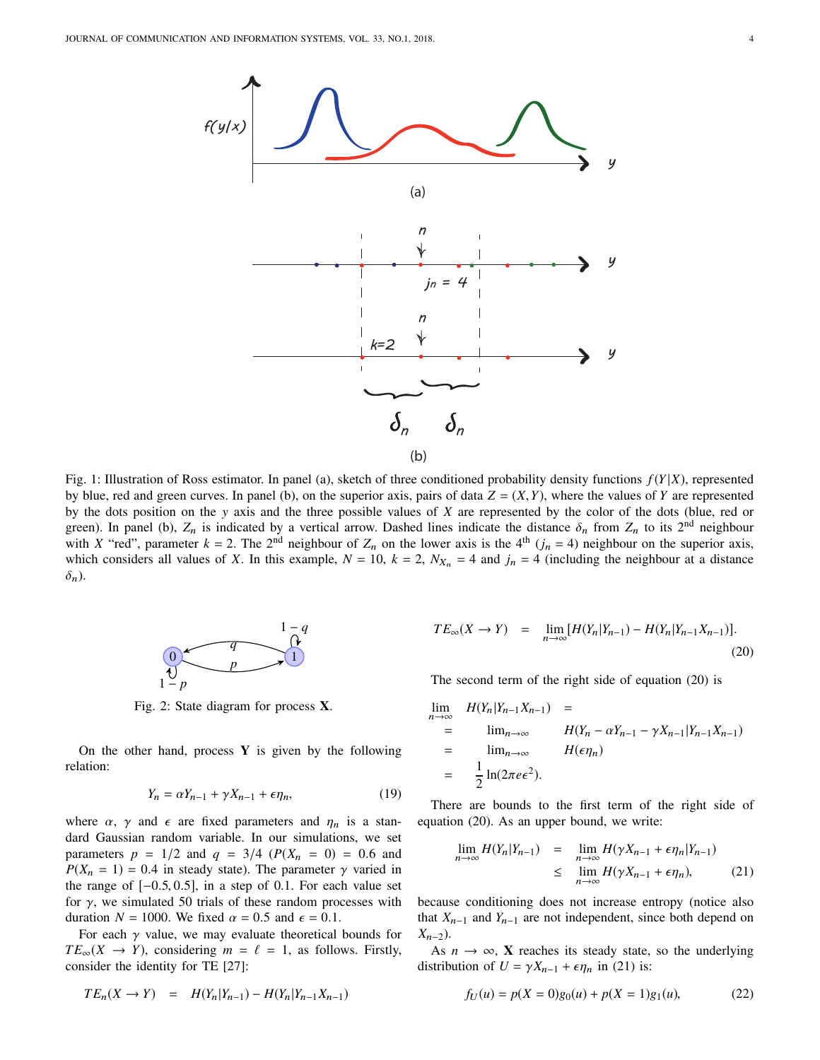

Fig. 1: Illustration of Ross estimator. In panel (a), sketch of three conditioned probability density functions *f* (*Y* |*X*), represented by blue, red and green curves. In panel (b), on the superior axis, pairs of data  $Z = (X, Y)$ , where the values of *Y* are represented by the dots position on the y axis and the three possible values of *X* are represented by the color of the dots (blue, red or green). In panel (b),  $Z_n$  is indicated by a vertical arrow. Dashed lines indicate the distance  $\delta_n$  from  $Z_n$  to its 2<sup>nd</sup> neighbour with *X* "red", parameter  $k = 2$ . The 2<sup>nd</sup> neighbour of  $Z_n$  on the lower axis is the 4<sup>th</sup> ( $j_n = 4$ ) neighbour on the superior axis, which considers all values of *X*. In this example,  $N = 10$ ,  $k = 2$ ,  $N_{X_n} = 4$  and  $j_n = 4$  (including the neighbour at a distance  $\delta_n$ ).



Fig. 2: State diagram for process **X**.

On the other hand, process **Y** is given by the following relation:

$$
Y_n = \alpha Y_{n-1} + \gamma X_{n-1} + \epsilon \eta_n,\tag{19}
$$

where  $\alpha$ ,  $\gamma$  and  $\epsilon$  are fixed parameters and  $\eta_n$  is a standard Gaussian random variable. In our simulations, we set parameters  $p = 1/2$  and  $q = 3/4$  ( $P(X_n = 0) = 0.6$  and  $P(X_n = 1) = 0.4$  in steady state). The parameter  $\gamma$  varied in the range of  $[-0.5, 0.5]$ , in a step of 0.1. For each value set for  $\gamma$ , we simulated 50 trials of these random processes with duration  $N = 1000$ . We fixed  $\alpha = 0.5$  and  $\epsilon = 0.1$ .

For each  $\gamma$  value, we may evaluate theoretical bounds for  $TE_{\infty}(X \rightarrow Y)$ , considering  $m = \ell = 1$ , as follows. Firstly, consider the identity for TE [27]:

$$
TE_n(X \to Y) = H(Y_n|Y_{n-1}) - H(Y_n|Y_{n-1}X_{n-1})
$$

$$
TE_{\infty}(X \to Y) = \lim_{n \to \infty} [H(Y_n | Y_{n-1}) - H(Y_n | Y_{n-1} X_{n-1})].
$$
\n(20)

The second term of the right side of equation (20) is

$$
\lim_{n \to \infty} H(Y_n | Y_{n-1} X_{n-1}) =
$$
\n
$$
= \lim_{n \to \infty} H(Y_n - \alpha Y_{n-1} - \gamma X_{n-1} | Y_{n-1} X_{n-1})
$$
\n
$$
= \lim_{n \to \infty} H(\epsilon \eta_n)
$$
\n
$$
= \frac{1}{2} \ln(2\pi e \epsilon^2).
$$

There are bounds to the first term of the right side of equation (20). As an upper bound, we write:

$$
\lim_{n \to \infty} H(Y_n | Y_{n-1}) = \lim_{n \to \infty} H(\gamma X_{n-1} + \epsilon \eta_n | Y_{n-1})
$$
  
\n
$$
\leq \lim_{n \to \infty} H(\gamma X_{n-1} + \epsilon \eta_n), \tag{21}
$$

because conditioning does not increase entropy (notice also that  $X_{n-1}$  and  $Y_{n-1}$  are not independent, since both depend on *X*n−2).

As  $n \to \infty$ , **X** reaches its steady state, so the underlying distribution of  $U = \gamma X_{n-1} + \epsilon \eta_n$  in (21) is:

$$
f_U(u) = p(X = 0)g_0(u) + p(X = 1)g_1(u),
$$
 (22)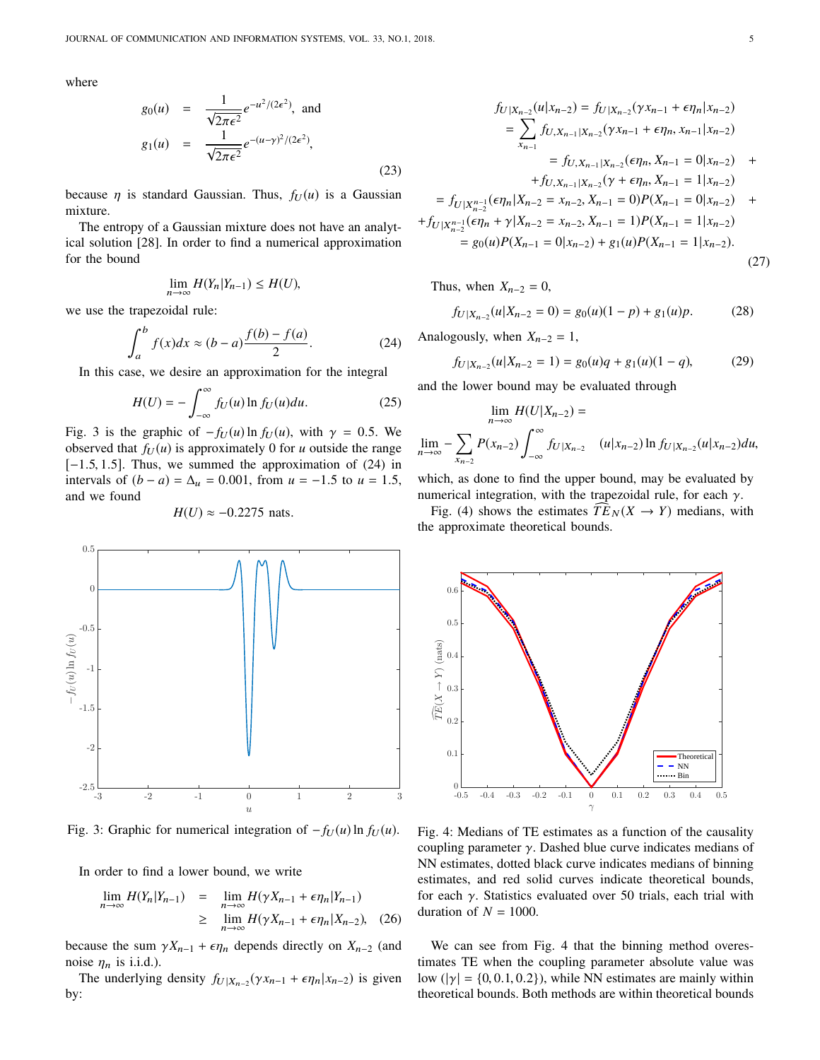where

$$
g_0(u) = \frac{1}{\sqrt{2\pi\epsilon^2}}e^{-u^2/(2\epsilon^2)}, \text{ and}
$$
  
\n
$$
g_1(u) = \frac{1}{\sqrt{2\pi\epsilon^2}}e^{-(u-\gamma)^2/(2\epsilon^2)},
$$
\n(23)

because  $\eta$  is standard Gaussian. Thus,  $f_U(u)$  is a Gaussian mixture.

The entropy of a Gaussian mixture does not have an analytical solution [28]. In order to find a numerical approximation for the bound

$$
\lim_{n\to\infty} H(Y_n|Y_{n-1}) \leq H(U),
$$

we use the trapezoidal rule:

$$
\int_{a}^{b} f(x)dx \approx (b-a)\frac{f(b)-f(a)}{2}.
$$
 (24)

In this case, we desire an approximation for the integral

$$
H(U) = -\int_{-\infty}^{\infty} f_U(u) \ln f_U(u) du.
$$
 (25)

Fig. 3 is the graphic of  $-f_U(u) \ln f_U(u)$ , with  $\gamma = 0.5$ . We observed that  $f_U(u)$  is approximately 0 for *u* outside the range  $[-1.5, 1.5]$ . Thus, we summed the approximation of  $(24)$  in intervals of  $(b - a) = \Delta u = 0.001$ , from  $u = -1.5$  to  $u = 1.5$ , and we found

## $H(U) \approx -0.2275$  nats.



Fig. 3: Graphic for numerical integration of  $-f_U(u) \ln f_U(u)$ .

In order to find a lower bound, we write

$$
\lim_{n \to \infty} H(Y_n | Y_{n-1}) = \lim_{n \to \infty} H(\gamma X_{n-1} + \epsilon \eta_n | Y_{n-1})
$$
  
\n
$$
\geq \lim_{n \to \infty} H(\gamma X_{n-1} + \epsilon \eta_n | X_{n-2}), \quad (26)
$$

because the sum  $\gamma X_{n-1} + \epsilon \eta_n$  depends directly on  $X_{n-2}$  (and noise  $\eta_n$  is i.i.d.).

The underlying density  $f_{U|X_{n-2}}(\gamma x_{n-1} + \epsilon \eta_n | x_{n-2})$  is given by:

$$
f_{U|X_{n-2}}(u|x_{n-2}) = f_{U|X_{n-2}}(\gamma x_{n-1} + \epsilon \eta_n | x_{n-2})
$$
  
\n
$$
= \sum_{x_{n-1}} f_{U,X_{n-1}|X_{n-2}}(\gamma x_{n-1} + \epsilon \eta_n, x_{n-1} | x_{n-2})
$$
  
\n
$$
= f_{U,X_{n-1}|X_{n-2}}(\epsilon \eta_n, X_{n-1} = 0 | x_{n-2}) +
$$
  
\n
$$
+ f_{U,X_{n-1}|X_{n-2}}(\gamma + \epsilon \eta_n, X_{n-1} = 1 | x_{n-2})
$$
  
\n
$$
= f_{U|X_{n-2}^{n-1}}(\epsilon \eta_n | X_{n-2} = x_{n-2}, X_{n-1} = 0)P(X_{n-1} = 0 | x_{n-2}) +
$$
  
\n
$$
+ f_{U|X_{n-2}^{n-1}}(\epsilon \eta_n + \gamma | X_{n-2} = x_{n-2}, X_{n-1} = 1)P(X_{n-1} = 1 | x_{n-2})
$$
  
\n
$$
= g_0(u)P(X_{n-1} = 0 | x_{n-2}) + g_1(u)P(X_{n-1} = 1 | x_{n-2}).
$$

Thus, when  $X_{n-2} = 0$ ,

$$
f_{U|X_{n-2}}(u|X_{n-2}=0) = g_0(u)(1-p) + g_1(u)p.
$$
 (28)

Analogously, when  $X_{n-2} = 1$ ,

$$
f_{U|X_{n-2}}(u|X_{n-2}=1) = g_0(u)q + g_1(u)(1-q),
$$
 (29)

and the lower bound may be evaluated through

$$
\lim_{n \to \infty} H(U|X_{n-2}) =
$$
  

$$
\lim_{n \to \infty} -\sum_{x_{n-2}} P(x_{n-2}) \int_{-\infty}^{\infty} f_U |x_{n-2} (u|x_{n-2}) \ln f_U |x_{n-2} (u|x_{n-2}) du,
$$

which, as done to find the upper bound, may be evaluated by numerical integration, with the trapezoidal rule, for each  $\gamma$ .

Fig. (4) shows the estimates  $\widehat{TE}_N(X \rightarrow Y)$  medians, with the approximate theoretical bounds.



Fig. 4: Medians of TE estimates as a function of the causality coupling parameter  $\gamma$ . Dashed blue curve indicates medians of NN estimates, dotted black curve indicates medians of binning estimates, and red solid curves indicate theoretical bounds, for each  $\gamma$ . Statistics evaluated over 50 trials, each trial with duration of  $N = 1000$ .

We can see from Fig. 4 that the binning method overestimates TE when the coupling parameter absolute value was low ( $|\gamma| = \{0, 0.1, 0.2\}$ ), while NN estimates are mainly within theoretical bounds. Both methods are within theoretical bounds

(27)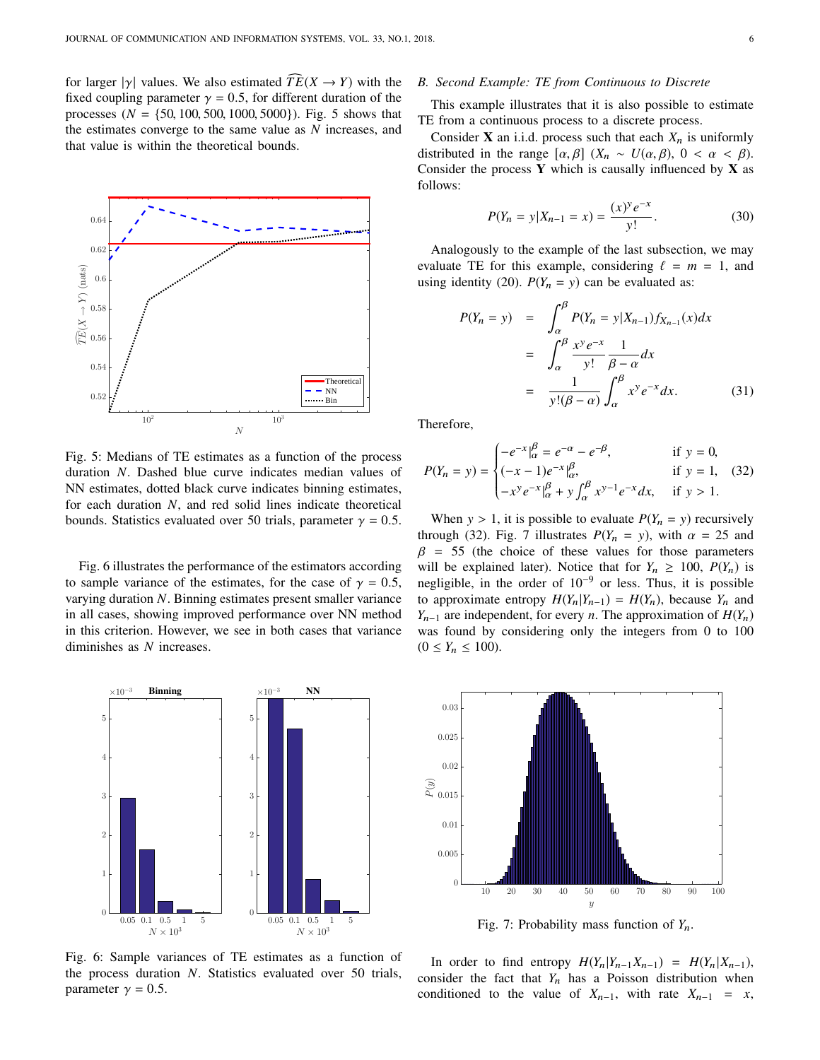for larger  $|\gamma|$  values. We also estimated  $\widehat{TE}(X \rightarrow Y)$  with the fixed coupling parameter  $\gamma = 0.5$ , for different duration of the processes ( $N = \{50, 100, 500, 1000, 5000\}$ ). Fig. 5 shows that the estimates converge to the same value as *N* increases, and that value is within the theoretical bounds.



Fig. 5: Medians of TE estimates as a function of the process duration *N*. Dashed blue curve indicates median values of NN estimates, dotted black curve indicates binning estimates, for each duration *N*, and red solid lines indicate theoretical bounds. Statistics evaluated over 50 trials, parameter  $\gamma = 0.5$ .

Fig. 6 illustrates the performance of the estimators according to sample variance of the estimates, for the case of  $\gamma = 0.5$ , varying duration *N*. Binning estimates present smaller variance in all cases, showing improved performance over NN method in this criterion. However, we see in both cases that variance diminishes as *N* increases.



Fig. 6: Sample variances of TE estimates as a function of the process duration *N*. Statistics evaluated over 50 trials, parameter  $\gamma = 0.5$ .

## *B. Second Example: TE from Continuous to Discrete*

This example illustrates that it is also possible to estimate TE from a continuous process to a discrete process.

Consider **X** an i.i.d. process such that each  $X_n$  is uniformly distributed in the range  $[\alpha, \beta]$  ( $X_n \sim U(\alpha, \beta)$ ,  $0 < \alpha < \beta$ ). Consider the process **Y** which is causally influenced by **X** as follows:

$$
P(Y_n = y | X_{n-1} = x) = \frac{(x)^y e^{-x}}{y!}.
$$
 (30)

Analogously to the example of the last subsection, we may evaluate TE for this example, considering  $\ell = m = 1$ , and using identity (20).  $P(Y_n = y)$  can be evaluated as:

$$
P(Y_n = y) = \int_{\alpha}^{\beta} P(Y_n = y | X_{n-1}) f_{X_{n-1}}(x) dx
$$
  

$$
= \int_{\alpha}^{\beta} \frac{x^y e^{-x}}{y!} \frac{1}{\beta - \alpha} dx
$$
  

$$
= \frac{1}{y!(\beta - \alpha)} \int_{\alpha}^{\beta} x^y e^{-x} dx.
$$
 (31)

Therefore,

$$
P(Y_n = y) = \begin{cases} -e^{-x}\Big|_{\alpha}^{\beta} = e^{-\alpha} - e^{-\beta}, & \text{if } y = 0, \\ (-x - 1)e^{-x}\Big|_{\alpha}^{\beta}, & \text{if } y = 1, \\ -x^y e^{-x}\Big|_{\alpha}^{\beta} + y \int_{\alpha}^{\beta} x^{y-1} e^{-x} dx, & \text{if } y > 1. \end{cases}
$$

When  $y > 1$ , it is possible to evaluate  $P(Y_n = y)$  recursively through (32). Fig. 7 illustrates  $P(Y_n = y)$ , with  $\alpha = 25$  and  $\beta$  = 55 (the choice of these values for those parameters will be explained later). Notice that for  $Y_n \geq 100$ ,  $P(Y_n)$  is negligible, in the order of  $10^{-9}$  or less. Thus, it is possible to approximate entropy  $H(Y_n|Y_{n-1}) = H(Y_n)$ , because  $Y_n$  and *Y*<sub>n−1</sub> are independent, for every *n*. The approximation of  $H(Y_n)$ was found by considering only the integers from 0 to 100  $(0 \le Y_n \le 100)$ .



Fig. 7: Probability mass function of *Y*n.

In order to find entropy  $H(Y_n|Y_{n-1}X_{n-1}) = H(Y_n|X_{n-1}),$ consider the fact that  $Y_n$  has a Poisson distribution when conditioned to the value of  $X_{n-1}$ , with rate  $X_{n-1} = x$ ,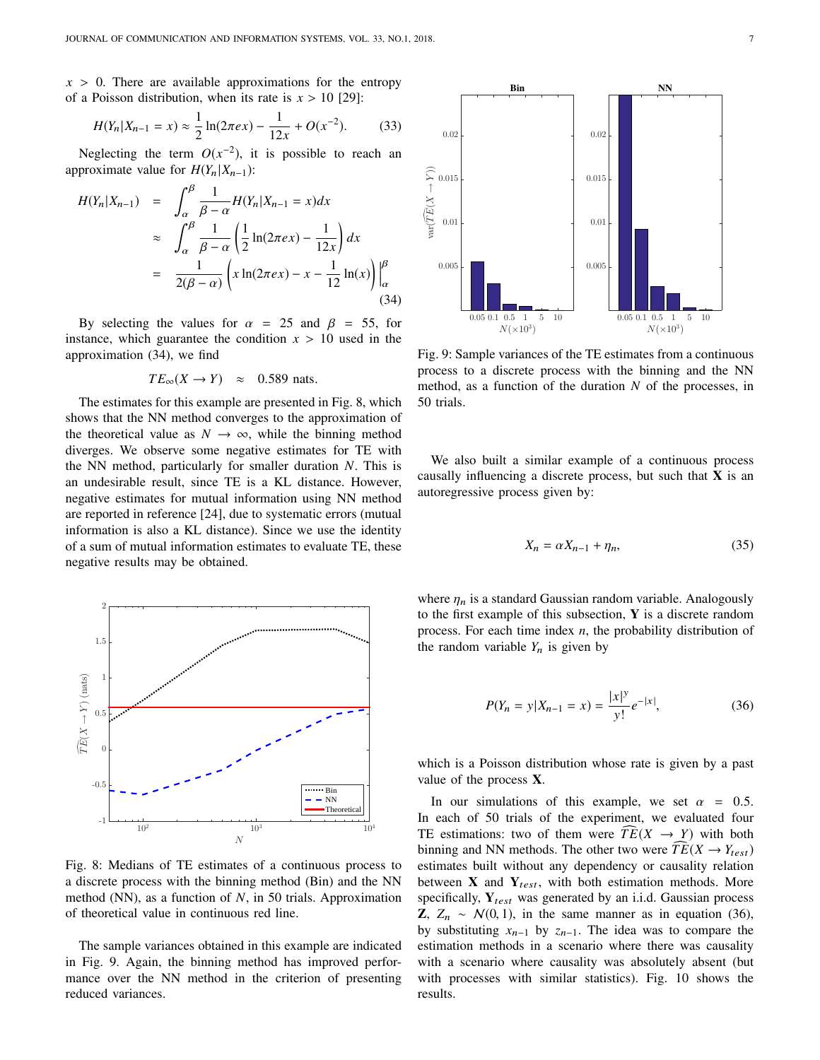$x > 0$ . There are available approximations for the entropy of a Poisson distribution, when its rate is  $x > 10$  [29]:

$$
H(Y_n|X_{n-1}=x) \approx \frac{1}{2}\ln(2\pi\epsilon x) - \frac{1}{12x} + O(x^{-2}).
$$
 (33)

Neglecting the term  $O(x^{-2})$ , it is possible to reach an approximate value for  $H(Y_n|X_{n-1})$ :

$$
H(Y_n|X_{n-1}) = \int_{\alpha}^{\beta} \frac{1}{\beta - \alpha} H(Y_n|X_{n-1} = x) dx
$$
  
\n
$$
\approx \int_{\alpha}^{\beta} \frac{1}{\beta - \alpha} \left( \frac{1}{2} \ln(2\pi e x) - \frac{1}{12x} \right) dx
$$
  
\n
$$
= \frac{1}{2(\beta - \alpha)} \left( x \ln(2\pi e x) - x - \frac{1}{12} \ln(x) \right) \Big|_{\alpha}^{\beta}
$$
  
\n(34)

By selecting the values for  $\alpha = 25$  and  $\beta = 55$ , for instance, which guarantee the condition  $x > 10$  used in the approximation (34), we find

$$
TE_{\infty}(X \to Y) \approx 0.589
$$
 nats.

The estimates for this example are presented in Fig. 8, which shows that the NN method converges to the approximation of the theoretical value as  $N \rightarrow \infty$ , while the binning method diverges. We observe some negative estimates for TE with the NN method, particularly for smaller duration *N*. This is an undesirable result, since TE is a KL distance. However, negative estimates for mutual information using NN method are reported in reference [24], due to systematic errors (mutual information is also a KL distance). Since we use the identity of a sum of mutual information estimates to evaluate TE, these negative results may be obtained.



Fig. 8: Medians of TE estimates of a continuous process to a discrete process with the binning method (Bin) and the NN method (NN), as a function of *N*, in 50 trials. Approximation of theoretical value in continuous red line.

The sample variances obtained in this example are indicated in Fig. 9. Again, the binning method has improved performance over the NN method in the criterion of presenting reduced variances.



Fig. 9: Sample variances of the TE estimates from a continuous process to a discrete process with the binning and the NN method, as a function of the duration *N* of the processes, in 50 trials.

We also built a similar example of a continuous process causally influencing a discrete process, but such that **X** is an autoregressive process given by:

$$
X_n = \alpha X_{n-1} + \eta_n,\tag{35}
$$

where  $\eta_n$  is a standard Gaussian random variable. Analogously to the first example of this subsection, **Y** is a discrete random process. For each time index *n*, the probability distribution of the random variable  $Y_n$  is given by

$$
P(Y_n = y | X_{n-1} = x) = \frac{|x|^y}{y!} e^{-|x|},
$$
\n(36)

which is a Poisson distribution whose rate is given by a past value of the process **X**.

In our simulations of this example, we set  $\alpha = 0.5$ . In each of 50 trials of the experiment, we evaluated four TE estimations: two of them were  $\overline{TE}(X \rightarrow Y)$  with both binning and NN methods. The other two were  $\overline{TE}(X \rightarrow Y_{test})$ estimates built without any dependency or causality relation between  $\bf{X}$  and  $\bf{Y}_{test}$ , with both estimation methods. More specifically, Y<sub>test</sub> was generated by an i.i.d. Gaussian process **Z**,  $Z_n$  ∼  $N(0, 1)$ , in the same manner as in equation (36), by substituting *x*n−<sup>1</sup> by *z*n−1. The idea was to compare the estimation methods in a scenario where there was causality with a scenario where causality was absolutely absent (but with processes with similar statistics). Fig. 10 shows the results.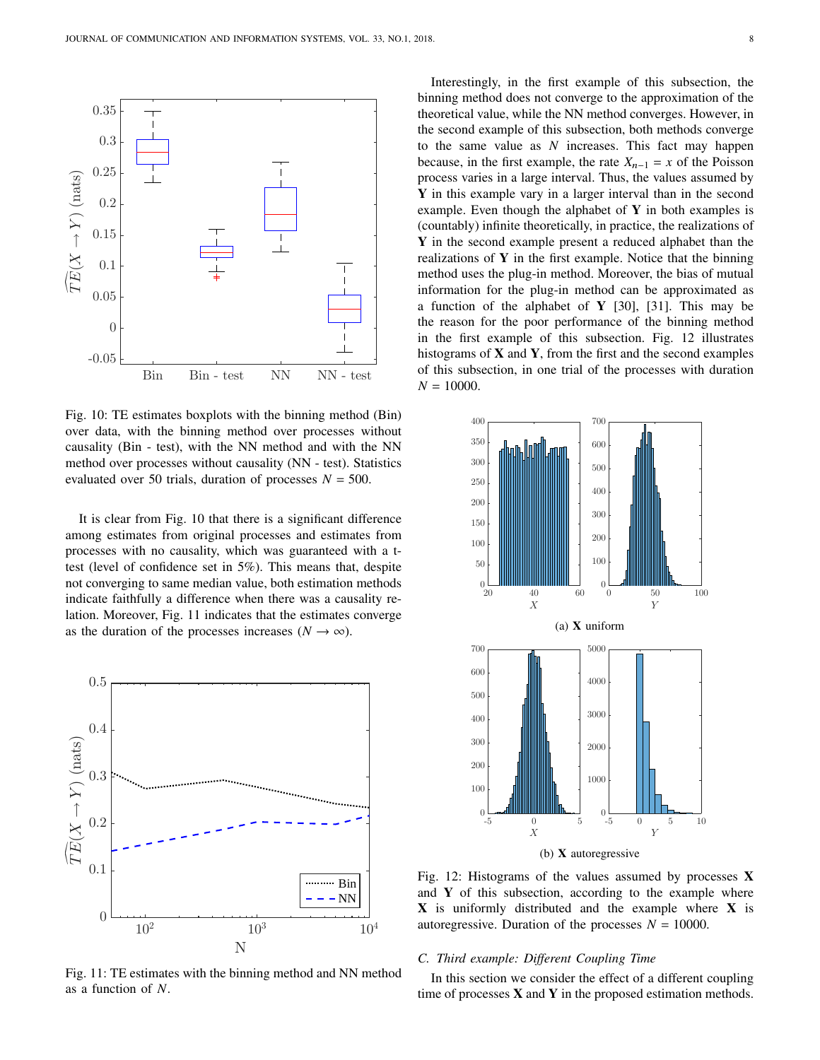

Fig. 10: TE estimates boxplots with the binning method (Bin) over data, with the binning method over processes without causality (Bin - test), with the NN method and with the NN method over processes without causality (NN - test). Statistics evaluated over 50 trials, duration of processes  $N = 500$ .

It is clear from Fig. 10 that there is a significant difference among estimates from original processes and estimates from processes with no causality, which was guaranteed with a ttest (level of confidence set in 5%). This means that, despite not converging to same median value, both estimation methods indicate faithfully a difference when there was a causality relation. Moreover, Fig. 11 indicates that the estimates converge as the duration of the processes increases ( $N \to \infty$ ).



Fig. 11: TE estimates with the binning method and NN method as a function of *N*.

Interestingly, in the first example of this subsection, the binning method does not converge to the approximation of the theoretical value, while the NN method converges. However, in the second example of this subsection, both methods converge to the same value as *N* increases. This fact may happen because, in the first example, the rate  $X_{n-1} = x$  of the Poisson process varies in a large interval. Thus, the values assumed by **Y** in this example vary in a larger interval than in the second example. Even though the alphabet of **Y** in both examples is (countably) infinite theoretically, in practice, the realizations of **Y** in the second example present a reduced alphabet than the realizations of **Y** in the first example. Notice that the binning method uses the plug-in method. Moreover, the bias of mutual information for the plug-in method can be approximated as a function of the alphabet of **Y** [30], [31]. This may be the reason for the poor performance of the binning method in the first example of this subsection. Fig. 12 illustrates histograms of **X** and **Y**, from the first and the second examples of this subsection, in one trial of the processes with duration  $N = 10000$ .



Fig. 12: Histograms of the values assumed by processes **X** and **Y** of this subsection, according to the example where **X** is uniformly distributed and the example where **X** is autoregressive. Duration of the processes  $N = 10000$ .

## *C. Third example: Different Coupling Time*

In this section we consider the effect of a different coupling time of processes **X** and **Y** in the proposed estimation methods.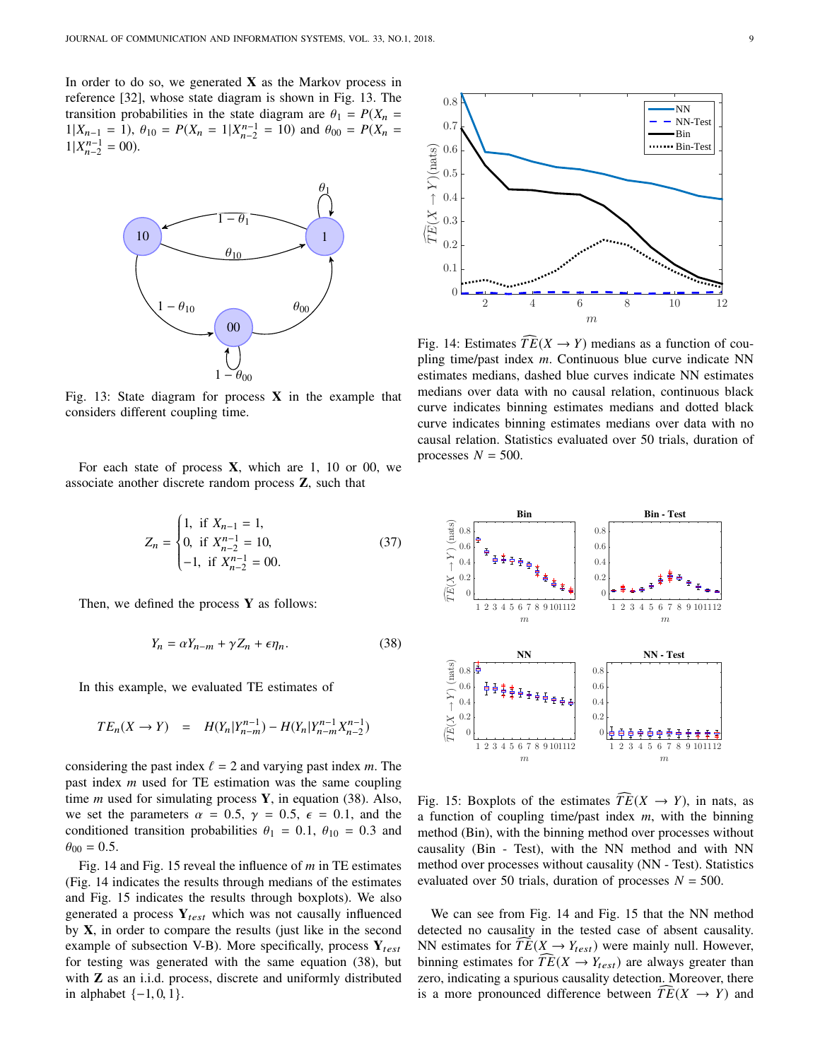In order to do so, we generated  $X$  as the Markov process in reference [32], whose state diagram is shown in Fig. 13. The transition probabilities in the state diagram are  $\theta_1 = P(X_n = 1 | X_{n-1} = 1)$  and  $\theta_{00} = P(X_{n-1} = 1 | X_{n-1} = 1)$  $1|X_{n-1} = 1$ ,  $\theta_{10} = P(X_n = 1 | X_{n-2}^{n-1} = 10)$  and  $\theta_{00} = P(X_n = 1 | Y_{n-1}^{n-1} = 00)$  $1|X_{n-2}^{n-1} = 00$ ).



Fig. 13: State diagram for process **X** in the example that considers different coupling time.

For each state of process **X**, which are 1, 10 or 00, we associate another discrete random process **Z**, such that

$$
Z_n = \begin{cases} 1, & \text{if } X_{n-1} = 1, \\ 0, & \text{if } X_{n-2}^{n-1} = 10, \\ -1, & \text{if } X_{n-2}^{n-1} = 00. \end{cases}
$$
(37)

Then, we defined the process **Y** as follows:

$$
Y_n = \alpha Y_{n-m} + \gamma Z_n + \epsilon \eta_n. \tag{38}
$$

In this example, we evaluated TE estimates of

$$
TE_n(X \to Y) = H(Y_n | Y_{n-m}^{n-1}) - H(Y_n | Y_{n-m}^{n-1} X_{n-2}^{n-1})
$$

considering the past index  $\ell = 2$  and varying past index *m*. The past index *m* used for TE estimation was the same coupling time *m* used for simulating process **Y**, in equation (38). Also, we set the parameters  $\alpha = 0.5$ ,  $\gamma = 0.5$ ,  $\epsilon = 0.1$ , and the conditioned transition probabilities  $\theta_1 = 0.1$ ,  $\theta_{10} = 0.3$  and  $\theta_{00} = 0.5$ .

Fig. 14 and Fig. 15 reveal the influence of *m* in TE estimates (Fig. 14 indicates the results through medians of the estimates and Fig. 15 indicates the results through boxplots). We also generated a process  $Y_{test}$  which was not causally influenced by **X**, in order to compare the results (just like in the second example of subsection V-B). More specifically, process  $Y_{test}$ for testing was generated with the same equation (38), but with **Z** as an i.i.d. process, discrete and uniformly distributed in alphabet  $\{-1, 0, 1\}$ .



Fig. 14: Estimates  $\widehat{TE}(X \rightarrow Y)$  medians as a function of coupling time/past index *m*. Continuous blue curve indicate NN estimates medians, dashed blue curves indicate NN estimates medians over data with no causal relation, continuous black curve indicates binning estimates medians and dotted black curve indicates binning estimates medians over data with no causal relation. Statistics evaluated over 50 trials, duration of processes  $N = 500$ .



Fig. 15: Boxplots of the estimates  $\widehat{TE}(X \rightarrow Y)$ , in nats, as a function of coupling time/past index *m*, with the binning method (Bin), with the binning method over processes without causality (Bin - Test), with the NN method and with NN method over processes without causality (NN - Test). Statistics evaluated over 50 trials, duration of processes  $N = 500$ .

We can see from Fig. 14 and Fig. 15 that the NN method detected no causality in the tested case of absent causality. NN estimates for  $TE(X \rightarrow Y_{test})$  were mainly null. However, binning estimates for  $TE(X \rightarrow Y_{test})$  are always greater than zero, indicating a spurious causality detection. Moreover, there is a more pronounced difference between  $\overline{TE}(X \rightarrow Y)$  and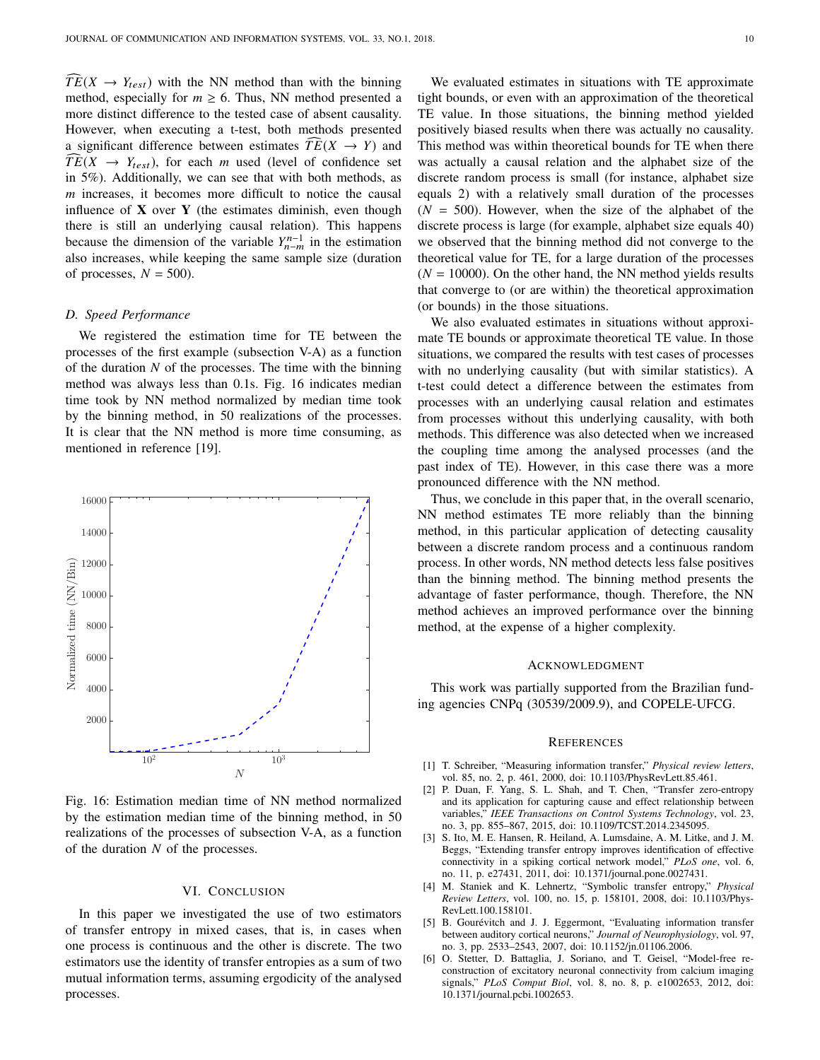$\widehat{TE}(X \rightarrow Y_{test})$  with the NN method than with the binning method, especially for  $m \ge 6$ . Thus, NN method presented a more distinct difference to the tested case of absent causality. However, when executing a t-test, both methods presented a significant difference between estimates  $TE(X \rightarrow Y)$  and  $TE(X \rightarrow Y_{test})$ , for each *m* used (level of confidence set in 5%). Additionally, we can see that with both methods, as *m* increases, it becomes more difficult to notice the causal influence of **X** over **Y** (the estimates diminish, even though there is still an underlying causal relation). This happens because the dimension of the variable  $Y_{n-m}^{n-1}$  in the estimation also increases, while keeping the same sample size (duration of processes,  $N = 500$ .

## *D. Speed Performance*

We registered the estimation time for TE between the processes of the first example (subsection V-A) as a function of the duration *N* of the processes. The time with the binning method was always less than 0.1s. Fig. 16 indicates median time took by NN method normalized by median time took by the binning method, in 50 realizations of the processes. It is clear that the NN method is more time consuming, as mentioned in reference [19].



Fig. 16: Estimation median time of NN method normalized by the estimation median time of the binning method, in 50 realizations of the processes of subsection V-A, as a function of the duration *N* of the processes.

## VI. CONCLUSION

In this paper we investigated the use of two estimators of transfer entropy in mixed cases, that is, in cases when one process is continuous and the other is discrete. The two estimators use the identity of transfer entropies as a sum of two mutual information terms, assuming ergodicity of the analysed processes.

We evaluated estimates in situations with TE approximate tight bounds, or even with an approximation of the theoretical TE value. In those situations, the binning method yielded positively biased results when there was actually no causality. This method was within theoretical bounds for TE when there was actually a causal relation and the alphabet size of the discrete random process is small (for instance, alphabet size equals 2) with a relatively small duration of the processes  $(N = 500)$ . However, when the size of the alphabet of the discrete process is large (for example, alphabet size equals 40) we observed that the binning method did not converge to the theoretical value for TE, for a large duration of the processes  $(N = 10000)$ . On the other hand, the NN method yields results that converge to (or are within) the theoretical approximation (or bounds) in the those situations.

We also evaluated estimates in situations without approximate TE bounds or approximate theoretical TE value. In those situations, we compared the results with test cases of processes with no underlying causality (but with similar statistics). A t-test could detect a difference between the estimates from processes with an underlying causal relation and estimates from processes without this underlying causality, with both methods. This difference was also detected when we increased the coupling time among the analysed processes (and the past index of TE). However, in this case there was a more pronounced difference with the NN method.

Thus, we conclude in this paper that, in the overall scenario, NN method estimates TE more reliably than the binning method, in this particular application of detecting causality between a discrete random process and a continuous random process. In other words, NN method detects less false positives than the binning method. The binning method presents the advantage of faster performance, though. Therefore, the NN method achieves an improved performance over the binning method, at the expense of a higher complexity.

## ACKNOWLEDGMENT

This work was partially supported from the Brazilian funding agencies CNPq (30539/2009.9), and COPELE-UFCG.

## **REFERENCES**

- [1] T. Schreiber, "Measuring information transfer," *Physical review letters*, vol. 85, no. 2, p. 461, 2000, doi: 10.1103/PhysRevLett.85.461.
- [2] P. Duan, F. Yang, S. L. Shah, and T. Chen, "Transfer zero-entropy and its application for capturing cause and effect relationship between variables," *IEEE Transactions on Control Systems Technology*, vol. 23, no. 3, pp. 855–867, 2015, doi: 10.1109/TCST.2014.2345095.
- [3] S. Ito, M. E. Hansen, R. Heiland, A. Lumsdaine, A. M. Litke, and J. M. Beggs, "Extending transfer entropy improves identification of effective connectivity in a spiking cortical network model," *PLoS one*, vol. 6, no. 11, p. e27431, 2011, doi: 10.1371/journal.pone.0027431.
- [4] M. Staniek and K. Lehnertz, "Symbolic transfer entropy," *Physical Review Letters*, vol. 100, no. 15, p. 158101, 2008, doi: 10.1103/Phys-RevLett.100.158101.
- [5] B. Gourévitch and J. J. Eggermont, "Evaluating information transfer between auditory cortical neurons," *Journal of Neurophysiology*, vol. 97, no. 3, pp. 2533–2543, 2007, doi: 10.1152/jn.01106.2006.
- [6] O. Stetter, D. Battaglia, J. Soriano, and T. Geisel, "Model-free reconstruction of excitatory neuronal connectivity from calcium imaging signals," *PLoS Comput Biol*, vol. 8, no. 8, p. e1002653, 2012, doi: 10.1371/journal.pcbi.1002653.